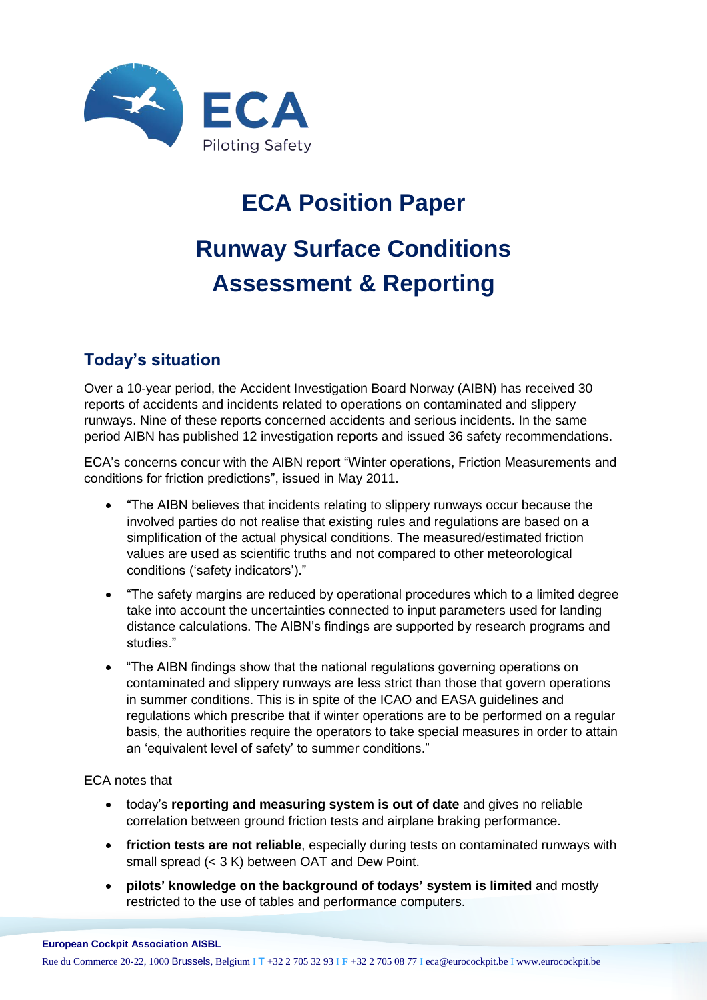

## **ECA Position Paper**

# **Runway Surface Conditions Assessment & Reporting**

### **Today's situation**

Over a 10-year period, the Accident Investigation Board Norway (AIBN) has received 30 reports of accidents and incidents related to operations on contaminated and slippery runways. Nine of these reports concerned accidents and serious incidents. In the same period AIBN has published 12 investigation reports and issued 36 safety recommendations.

ECA's concerns concur with the AIBN report "Winter operations, Friction Measurements and conditions for friction predictions", issued in May 2011.

- "The AIBN believes that incidents relating to slippery runways occur because the involved parties do not realise that existing rules and regulations are based on a simplification of the actual physical conditions. The measured/estimated friction values are used as scientific truths and not compared to other meteorological conditions ('safety indicators')."
- "The safety margins are reduced by operational procedures which to a limited degree take into account the uncertainties connected to input parameters used for landing distance calculations. The AIBN's findings are supported by research programs and studies."
- "The AIBN findings show that the national regulations governing operations on contaminated and slippery runways are less strict than those that govern operations in summer conditions. This is in spite of the ICAO and EASA guidelines and regulations which prescribe that if winter operations are to be performed on a regular basis, the authorities require the operators to take special measures in order to attain an 'equivalent level of safety' to summer conditions."

#### ECA notes that

- today's **reporting and measuring system is out of date** and gives no reliable correlation between ground friction tests and airplane braking performance.
- **friction tests are not reliable**, especially during tests on contaminated runways with small spread (< 3 K) between OAT and Dew Point.
- **pilots' knowledge on the background of todays' system is limited** and mostly restricted to the use of tables and performance computers.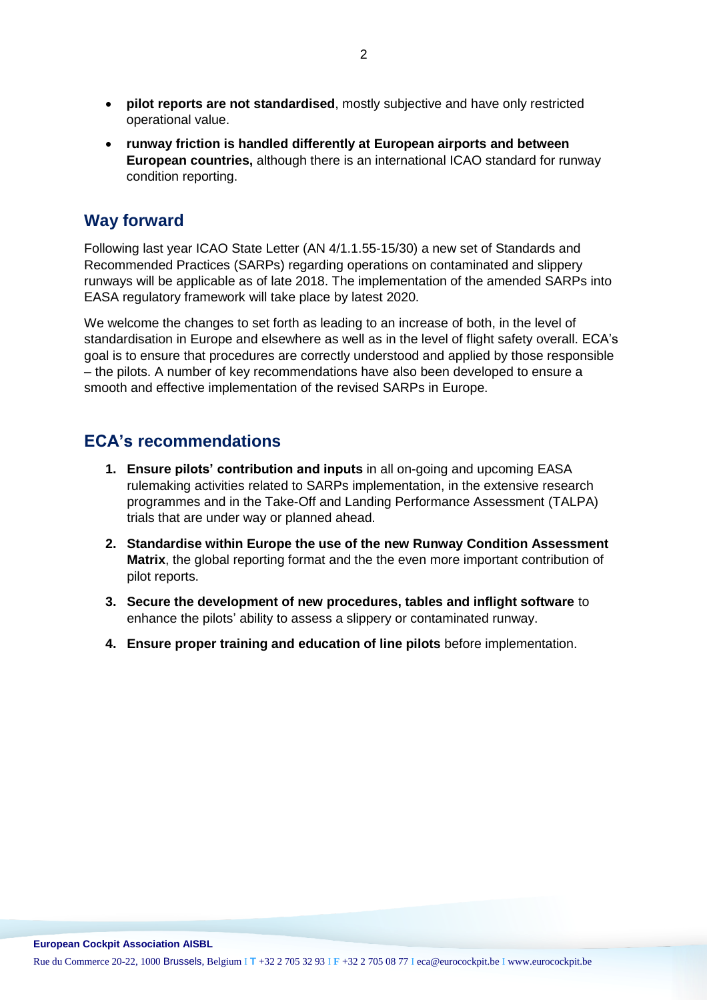- **pilot reports are not standardised**, mostly subjective and have only restricted operational value.
- **runway friction is handled differently at European airports and between European countries,** although there is an international ICAO standard for runway condition reporting.

#### **Way forward**

Following last year ICAO State Letter (AN 4/1.1.55-15/30) a new set of Standards and Recommended Practices (SARPs) regarding operations on contaminated and slippery runways will be applicable as of late 2018. The implementation of the amended SARPs into EASA regulatory framework will take place by latest 2020.

We welcome the changes to set forth as leading to an increase of both, in the level of standardisation in Europe and elsewhere as well as in the level of flight safety overall. ECA's goal is to ensure that procedures are correctly understood and applied by those responsible – the pilots. A number of key recommendations have also been developed to ensure a smooth and effective implementation of the revised SARPs in Europe.

#### **ECA's recommendations**

- **1. Ensure pilots' contribution and inputs** in all on-going and upcoming EASA rulemaking activities related to SARPs implementation, in the extensive research programmes and in the Take-Off and Landing Performance Assessment (TALPA) trials that are under way or planned ahead.
- **2. Standardise within Europe the use of the new Runway Condition Assessment Matrix**, the global reporting format and the the even more important contribution of pilot reports.
- **3. Secure the development of new procedures, tables and inflight software** to enhance the pilots' ability to assess a slippery or contaminated runway.
- **4. Ensure proper training and education of line pilots** before implementation.

Rue du Commerce 20-22, 1000 Brussels, Belgium I **T** +32 2 705 32 93 I **F** +32 2 705 08 77 I eca@eurocockpit.be I www.eurocockpit.be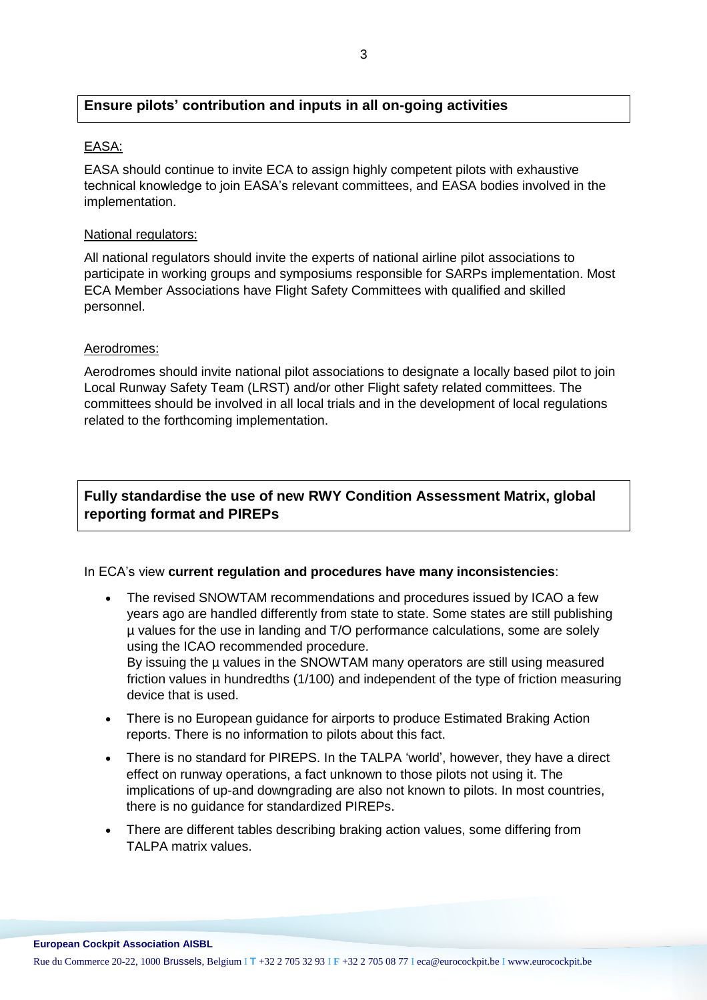#### **Ensure pilots' contribution and inputs in all on-going activities**

#### EASA:

EASA should continue to invite ECA to assign highly competent pilots with exhaustive technical knowledge to join EASA's relevant committees, and EASA bodies involved in the implementation.

#### National regulators:

All national regulators should invite the experts of national airline pilot associations to participate in working groups and symposiums responsible for SARPs implementation. Most ECA Member Associations have Flight Safety Committees with qualified and skilled personnel.

#### Aerodromes:

Aerodromes should invite national pilot associations to designate a locally based pilot to join Local Runway Safety Team (LRST) and/or other Flight safety related committees. The committees should be involved in all local trials and in the development of local regulations related to the forthcoming implementation.

#### **Fully standardise the use of new RWY Condition Assessment Matrix, global reporting format and PIREPs**

#### In ECA's view **current regulation and procedures have many inconsistencies**:

- The revised SNOWTAM recommendations and procedures issued by ICAO a few years ago are handled differently from state to state. Some states are still publishing µ values for the use in landing and T/O performance calculations, some are solely using the ICAO recommended procedure. By issuing the µ values in the SNOWTAM many operators are still using measured friction values in hundredths (1/100) and independent of the type of friction measuring device that is used.
- There is no European guidance for airports to produce Estimated Braking Action reports. There is no information to pilots about this fact.
- There is no standard for PIREPS. In the TALPA 'world', however, they have a direct effect on runway operations, a fact unknown to those pilots not using it. The implications of up-and downgrading are also not known to pilots. In most countries, there is no guidance for standardized PIREPs.
- There are different tables describing braking action values, some differing from TALPA matrix values.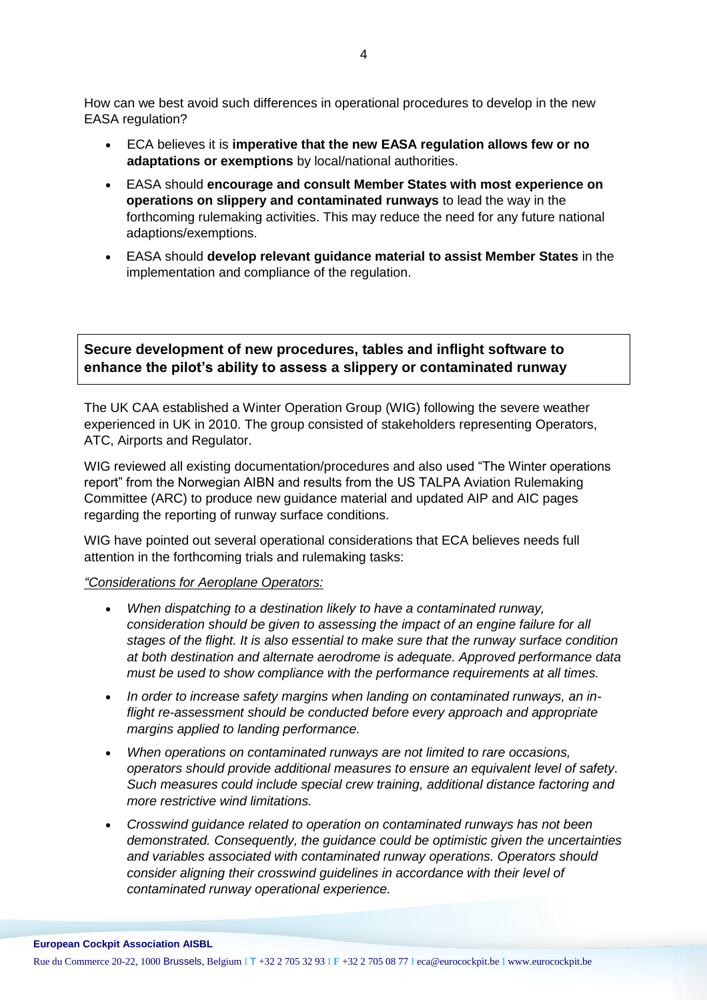How can we best avoid such differences in operational procedures to develop in the new EASA regulation?

- ECA believes it is **imperative that the new EASA regulation allows few or no adaptations or exemptions** by local/national authorities.
- EASA should **encourage and consult Member States with most experience on operations on slippery and contaminated runways** to lead the way in the forthcoming rulemaking activities. This may reduce the need for any future national adaptions/exemptions.
- EASA should **develop relevant guidance material to assist Member States** in the implementation and compliance of the regulation.

#### **Secure development of new procedures, tables and inflight software to enhance the pilot's ability to assess a slippery or contaminated runway**

The UK CAA established a Winter Operation Group (WIG) following the severe weather experienced in UK in 2010. The group consisted of stakeholders representing Operators, ATC, Airports and Regulator.

WIG reviewed all existing documentation/procedures and also used "The Winter operations report" from the Norwegian AIBN and results from the US TALPA Aviation Rulemaking Committee (ARC) to produce new guidance material and updated AIP and AIC pages regarding the reporting of runway surface conditions.

WIG have pointed out several operational considerations that ECA believes needs full attention in the forthcoming trials and rulemaking tasks:

#### *"Considerations for Aeroplane Operators:*

- *When dispatching to a destination likely to have a contaminated runway, consideration should be given to assessing the impact of an engine failure for all stages of the flight. It is also essential to make sure that the runway surface condition at both destination and alternate aerodrome is adequate. Approved performance data must be used to show compliance with the performance requirements at all times.*
- *In order to increase safety margins when landing on contaminated runways, an inflight re-assessment should be conducted before every approach and appropriate margins applied to landing performance.*
- *When operations on contaminated runways are not limited to rare occasions, operators should provide additional measures to ensure an equivalent level of safety. Such measures could include special crew training, additional distance factoring and more restrictive wind limitations.*
- *Crosswind guidance related to operation on contaminated runways has not been demonstrated. Consequently, the guidance could be optimistic given the uncertainties and variables associated with contaminated runway operations. Operators should consider aligning their crosswind guidelines in accordance with their level of contaminated runway operational experience.*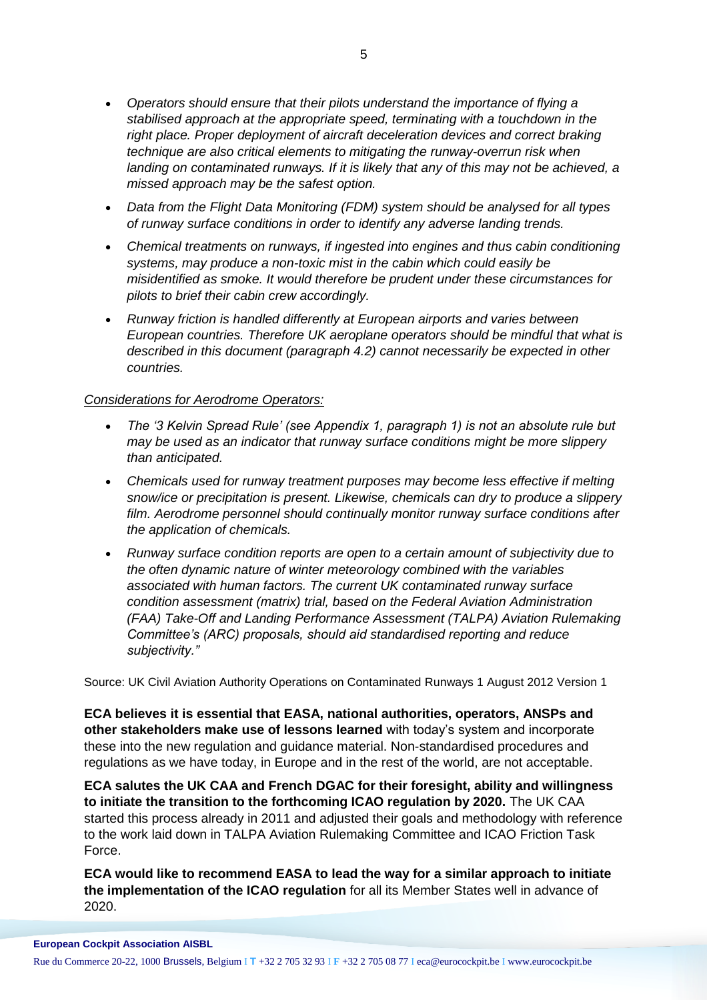- *Operators should ensure that their pilots understand the importance of flying a stabilised approach at the appropriate speed, terminating with a touchdown in the*  right place. Proper deployment of aircraft deceleration devices and correct braking *technique are also critical elements to mitigating the runway-overrun risk when landing on contaminated runways. If it is likely that any of this may not be achieved, a missed approach may be the safest option.*
- *Data from the Flight Data Monitoring (FDM) system should be analysed for all types of runway surface conditions in order to identify any adverse landing trends.*
- *Chemical treatments on runways, if ingested into engines and thus cabin conditioning systems, may produce a non-toxic mist in the cabin which could easily be misidentified as smoke. It would therefore be prudent under these circumstances for pilots to brief their cabin crew accordingly.*
- *Runway friction is handled differently at European airports and varies between European countries. Therefore UK aeroplane operators should be mindful that what is described in this document (paragraph 4.2) cannot necessarily be expected in other countries.*

#### *Considerations for Aerodrome Operators:*

- *The '3 Kelvin Spread Rule' (see Appendix 1, paragraph 1) is not an absolute rule but may be used as an indicator that runway surface conditions might be more slippery than anticipated.*
- *Chemicals used for runway treatment purposes may become less effective if melting snow/ice or precipitation is present. Likewise, chemicals can dry to produce a slippery film. Aerodrome personnel should continually monitor runway surface conditions after the application of chemicals.*
- *Runway surface condition reports are open to a certain amount of subjectivity due to the often dynamic nature of winter meteorology combined with the variables associated with human factors. The current UK contaminated runway surface condition assessment (matrix) trial, based on the Federal Aviation Administration (FAA) Take-Off and Landing Performance Assessment (TALPA) Aviation Rulemaking Committee's (ARC) proposals, should aid standardised reporting and reduce subjectivity."*

Source: UK Civil Aviation Authority Operations on Contaminated Runways 1 August 2012 Version 1

**ECA believes it is essential that EASA, national authorities, operators, ANSPs and other stakeholders make use of lessons learned** with today's system and incorporate these into the new regulation and guidance material. Non-standardised procedures and regulations as we have today, in Europe and in the rest of the world, are not acceptable.

**ECA salutes the UK CAA and French DGAC for their foresight, ability and willingness to initiate the transition to the forthcoming ICAO regulation by 2020.** The UK CAA started this process already in 2011 and adjusted their goals and methodology with reference to the work laid down in TALPA Aviation Rulemaking Committee and ICAO Friction Task Force.

**ECA would like to recommend EASA to lead the way for a similar approach to initiate the implementation of the ICAO regulation** for all its Member States well in advance of 2020.